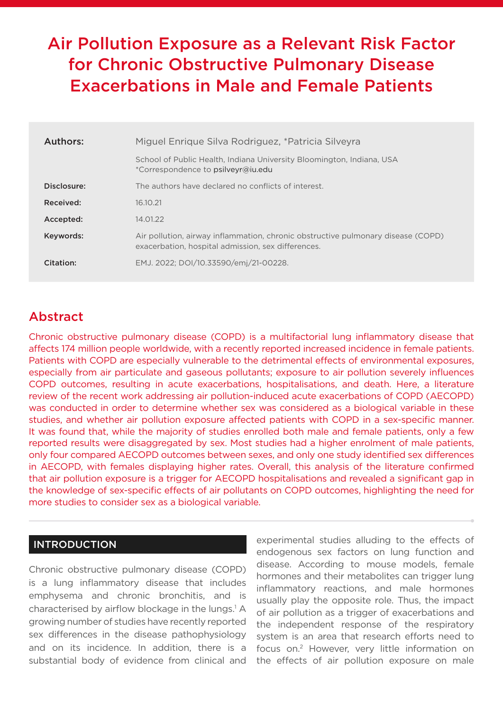# Air Pollution Exposure as a Relevant Risk Factor for Chronic Obstructive Pulmonary Disease Exacerbations in Male and Female Patients

| Authors:    | Miguel Enrique Silva Rodriguez, *Patricia Silveyra                                                                                     |
|-------------|----------------------------------------------------------------------------------------------------------------------------------------|
|             | School of Public Health, Indiana University Bloomington, Indiana, USA<br>*Correspondence to psilveyr@iu.edu                            |
| Disclosure: | The authors have declared no conflicts of interest.                                                                                    |
| Received:   | 16.10.21                                                                                                                               |
| Accepted:   | 14.01.22                                                                                                                               |
| Keywords:   | Air pollution, airway inflammation, chronic obstructive pulmonary disease (COPD)<br>exacerbation, hospital admission, sex differences. |
| Citation:   | EMJ. 2022; DOI/10.33590/emj/21-00228.                                                                                                  |

## Abstract

Chronic obstructive pulmonary disease (COPD) is a multifactorial lung inflammatory disease that affects 174 million people worldwide, with a recently reported increased incidence in female patients. Patients with COPD are especially vulnerable to the detrimental effects of environmental exposures, especially from air particulate and gaseous pollutants; exposure to air pollution severely influences COPD outcomes, resulting in acute exacerbations, hospitalisations, and death. Here, a literature review of the recent work addressing air pollution-induced acute exacerbations of COPD (AECOPD) was conducted in order to determine whether sex was considered as a biological variable in these studies, and whether air pollution exposure affected patients with COPD in a sex-specific manner. It was found that, while the majority of studies enrolled both male and female patients, only a few reported results were disaggregated by sex. Most studies had a higher enrolment of male patients, only four compared AECOPD outcomes between sexes, and only one study identified sex differences in AECOPD, with females displaying higher rates. Overall, this analysis of the literature confirmed that air pollution exposure is a trigger for AECOPD hospitalisations and revealed a significant gap in the knowledge of sex-specific effects of air pollutants on COPD outcomes, highlighting the need for more studies to consider sex as a biological variable.

## INTRODUCTION

Chronic obstructive pulmonary disease (COPD) is a lung inflammatory disease that includes emphysema and chronic bronchitis, and is characterised by airflow blockage in the lungs.<sup>1</sup> A growing number of studies have recently reported sex differences in the disease pathophysiology and on its incidence. In addition, there is a substantial body of evidence from clinical and

experimental studies alluding to the effects of endogenous sex factors on lung function and disease. According to mouse models, female hormones and their metabolites can trigger lung inflammatory reactions, and male hormones usually play the opposite role. Thus, the impact of air pollution as a trigger of exacerbations and the independent response of the respiratory system is an area that research efforts need to focus on.2 However, very little information on the effects of air pollution exposure on male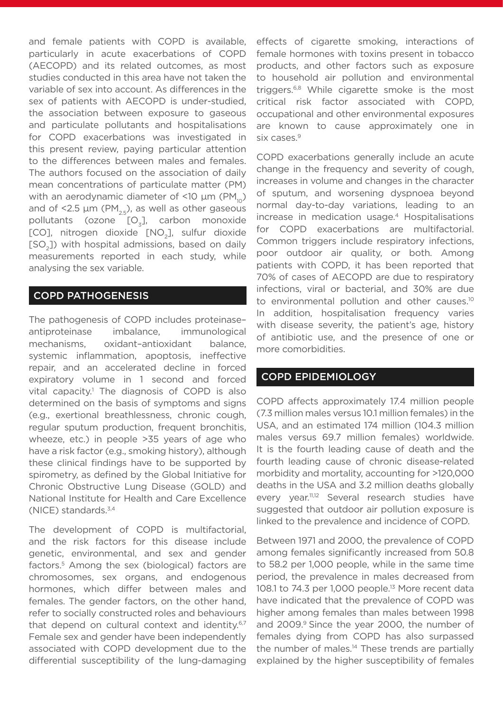and female patients with COPD is available, particularly in acute exacerbations of COPD (AECOPD) and its related outcomes, as most studies conducted in this area have not taken the variable of sex into account. As differences in the sex of patients with AECOPD is under-studied, the association between exposure to gaseous and particulate pollutants and hospitalisations for COPD exacerbations was investigated in this present review, paying particular attention to the differences between males and females. The authors focused on the association of daily mean concentrations of particulate matter (PM) with an aerodynamic diameter of <10  $\mu$ m (PM<sub>10</sub>) and of <2.5  $\mu$ m (PM<sub>25</sub>), as well as other gaseous pollutants (ozone  $[O_3]$ , carbon monoxide [CO], nitrogen dioxide [NO<sub>2</sub>], sulfur dioxide [SO<sub>2</sub>]) with hospital admissions, based on daily measurements reported in each study, while analysing the sex variable.

## COPD PATHOGENESIS

The pathogenesis of COPD includes proteinase– antiproteinase imbalance, immunological mechanisms, oxidant–antioxidant balance, systemic inflammation, apoptosis, ineffective repair, and an accelerated decline in forced expiratory volume in 1 second and forced vital capacity.<sup>1</sup> The diagnosis of COPD is also determined on the basis of symptoms and signs (e.g., exertional breathlessness, chronic cough, regular sputum production, frequent bronchitis, wheeze, etc.) in people >35 years of age who have a risk factor (e.g., smoking history), although these clinical findings have to be supported by spirometry, as defined by the Global Initiative for Chronic Obstructive Lung Disease (GOLD) and National Institute for Health and Care Excellence (NICE) standards. $3,4$ 

The development of COPD is multifactorial, and the risk factors for this disease include genetic, environmental, and sex and gender factors.5 Among the sex (biological) factors are chromosomes, sex organs, and endogenous hormones, which differ between males and females. The gender factors, on the other hand, refer to socially constructed roles and behaviours that depend on cultural context and identity.<sup>6,7</sup> Female sex and gender have been independently associated with COPD development due to the differential susceptibility of the lung-damaging effects of cigarette smoking, interactions of female hormones with toxins present in tobacco products, and other factors such as exposure to household air pollution and environmental triggers.<sup>6,8</sup> While cigarette smoke is the most critical risk factor associated with COPD, occupational and other environmental exposures are known to cause approximately one in six cases.<sup>9</sup>

COPD exacerbations generally include an acute change in the frequency and severity of cough, increases in volume and changes in the character of sputum, and worsening dyspnoea beyond normal day-to-day variations, leading to an increase in medication usage.<sup>4</sup> Hospitalisations for COPD exacerbations are multifactorial. Common triggers include respiratory infections, poor outdoor air quality, or both. Among patients with COPD, it has been reported that 70% of cases of AECOPD are due to respiratory infections, viral or bacterial, and 30% are due to environmental pollution and other causes.<sup>10</sup> In addition, hospitalisation frequency varies with disease severity, the patient's age, history of antibiotic use, and the presence of one or more comorbidities.

## COPD EPIDEMIOLOGY

COPD affects approximately 17.4 million people (7.3 million males versus 10.1 million females) in the USA, and an estimated 174 million (104.3 million males versus 69.7 million females) worldwide. It is the fourth leading cause of death and the fourth leading cause of chronic disease-related morbidity and mortality, accounting for >120,000 deaths in the USA and 3.2 million deaths globally every year.<sup>11,12</sup> Several research studies have suggested that outdoor air pollution exposure is linked to the prevalence and incidence of COPD.

Between 1971 and 2000, the prevalence of COPD among females significantly increased from 50.8 to 58.2 per 1,000 people, while in the same time period, the prevalence in males decreased from 108.1 to 74.3 per 1,000 people.<sup>13</sup> More recent data have indicated that the prevalence of COPD was higher among females than males between 1998 and 2009.<sup>9</sup> Since the year 2000, the number of females dying from COPD has also surpassed the number of males.<sup>14</sup> These trends are partially explained by the higher susceptibility of females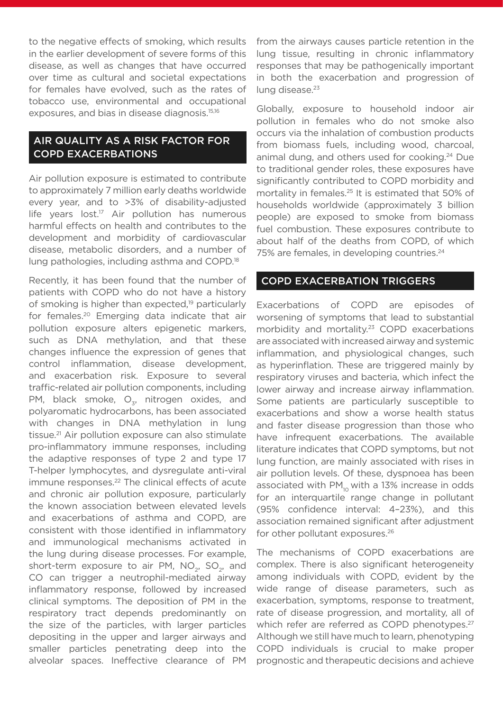to the negative effects of smoking, which results in the earlier development of severe forms of this disease, as well as changes that have occurred over time as cultural and societal expectations for females have evolved, such as the rates of tobacco use, environmental and occupational exposures, and bias in disease diagnosis.15,16

## AIR QUALITY AS A RISK FACTOR FOR COPD EXACERBATIONS

Air pollution exposure is estimated to contribute to approximately 7 million early deaths worldwide every year, and to >3% of disability-adjusted life years lost.<sup>17</sup> Air pollution has numerous harmful effects on health and contributes to the development and morbidity of cardiovascular disease, metabolic disorders, and a number of lung pathologies, including asthma and COPD.18

Recently, it has been found that the number of patients with COPD who do not have a history of smoking is higher than expected,<sup>19</sup> particularly for females.20 Emerging data indicate that air pollution exposure alters epigenetic markers, such as DNA methylation, and that these changes influence the expression of genes that control inflammation, disease development, and exacerbation risk. Exposure to several traffic-related air pollution components, including PM, black smoke,  $O<sub>z</sub>$ , nitrogen oxides, and polyaromatic hydrocarbons, has been associated with changes in DNA methylation in lung tissue.21 Air pollution exposure can also stimulate pro-inflammatory immune responses, including the adaptive responses of type 2 and type 17 T-helper lymphocytes, and dysregulate anti-viral immune responses.<sup>22</sup> The clinical effects of acute and chronic air pollution exposure, particularly the known association between elevated levels and exacerbations of asthma and COPD, are consistent with those identified in inflammatory and immunological mechanisms activated in the lung during disease processes. For example, short-term exposure to air PM,  $NO<sub>2</sub>$ , SO<sub>2</sub>, and CO can trigger a neutrophil-mediated airway inflammatory response, followed by increased clinical symptoms. The deposition of PM in the respiratory tract depends predominantly on the size of the particles, with larger particles depositing in the upper and larger airways and smaller particles penetrating deep into the alveolar spaces. Ineffective clearance of PM

from the airways causes particle retention in the lung tissue, resulting in chronic inflammatory responses that may be pathogenically important in both the exacerbation and progression of lung disease.<sup>23</sup>

Globally, exposure to household indoor air pollution in females who do not smoke also occurs via the inhalation of combustion products from biomass fuels, including wood, charcoal, animal dung, and others used for cooking.24 Due to traditional gender roles, these exposures have significantly contributed to COPD morbidity and mortality in females.<sup>25</sup> It is estimated that 50% of households worldwide (approximately 3 billion people) are exposed to smoke from biomass fuel combustion. These exposures contribute to about half of the deaths from COPD, of which 75% are females, in developing countries.<sup>24</sup>

#### COPD EXACERBATION TRIGGERS

Exacerbations of COPD are episodes of worsening of symptoms that lead to substantial morbidity and mortality.23 COPD exacerbations are associated with increased airway and systemic inflammation, and physiological changes, such as hyperinflation. These are triggered mainly by respiratory viruses and bacteria, which infect the lower airway and increase airway inflammation. Some patients are particularly susceptible to exacerbations and show a worse health status and faster disease progression than those who have infrequent exacerbations. The available literature indicates that COPD symptoms, but not lung function, are mainly associated with rises in air pollution levels. Of these, dyspnoea has been associated with  $PM_{10}$  with a 13% increase in odds for an interquartile range change in pollutant (95% confidence interval: 4–23%), and this association remained significant after adjustment for other pollutant exposures.<sup>26</sup>

The mechanisms of COPD exacerbations are complex. There is also significant heterogeneity among individuals with COPD, evident by the wide range of disease parameters, such as exacerbation, symptoms, response to treatment, rate of disease progression, and mortality, all of which refer are referred as COPD phenotypes.<sup>27</sup> Although we still have much to learn, phenotyping COPD individuals is crucial to make proper prognostic and therapeutic decisions and achieve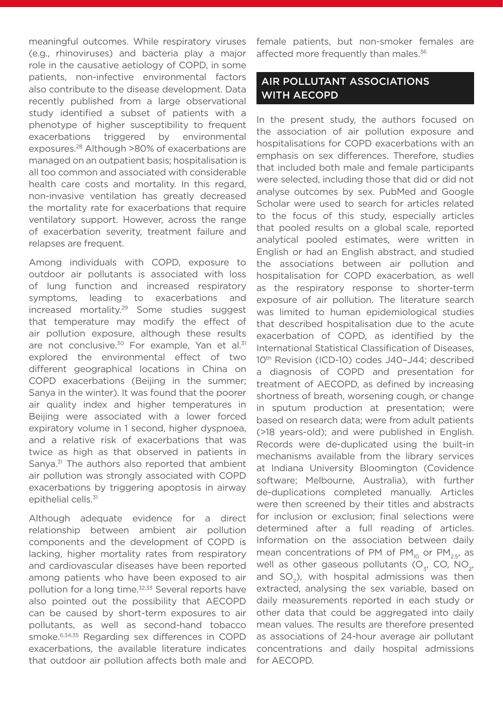meaningful outcomes. While respiratory viruses (e.g., rhinoviruses) and bacteria play a major role in the causative aetiology of COPD, in some patients, non-infective environmental factors also contribute to the disease development. Data recently published from a large observational study identified a subset of patients with a phenotype of higher susceptibility to frequent exacerbations triggered by environmental exposures.28 Although >80% of exacerbations are managed on an outpatient basis; hospitalisation is all too common and associated with considerable health care costs and mortality. In this regard, non-invasive ventilation has greatly decreased the mortality rate for exacerbations that require ventilatory support. However, across the range of exacerbation severity, treatment failure and relapses are frequent.

Among individuals with COPD, exposure to outdoor air pollutants is associated with loss of lung function and increased respiratory symptoms, leading to exacerbations and increased mortality.29 Some studies suggest that temperature may modify the effect of air pollution exposure, although these results are not conclusive.<sup>30</sup> For example, Yan et al.<sup>31</sup> explored the environmental effect of two different geographical locations in China on COPD exacerbations (Beijing in the summer; Sanya in the winter). It was found that the poorer air quality index and higher temperatures in Beijing were associated with a lower forced expiratory volume in 1 second, higher dyspnoea, and a relative risk of exacerbations that was twice as high as that observed in patients in Sanya.31 The authors also reported that ambient air pollution was strongly associated with COPD exacerbations by triggering apoptosis in airway epithelial cells.<sup>31</sup>

Although adequate evidence for a direct relationship between ambient air pollution components and the development of COPD is lacking, higher mortality rates from respiratory and cardiovascular diseases have been reported among patients who have been exposed to air pollution for a long time.<sup>32,33</sup> Several reports have also pointed out the possibility that AECOPD can be caused by short-term exposures to air pollutants, as well as second-hand tobacco smoke.6,34,35 Regarding sex differences in COPD exacerbations, the available literature indicates that outdoor air pollution affects both male and

female patients, but non-smoker females are affected more frequently than males.<sup>36</sup>

## AIR POLLUTANT ASSOCIATIONS WITH AECOPD

In the present study, the authors focused on the association of air pollution exposure and hospitalisations for COPD exacerbations with an emphasis on sex differences. Therefore, studies that included both male and female participants were selected, including those that did or did not analyse outcomes by sex. PubMed and Google Scholar were used to search for articles related to the focus of this study, especially articles that pooled results on a global scale, reported analytical pooled estimates, were written in English or had an English abstract, and studied the associations between air pollution and hospitalisation for COPD exacerbation, as well as the respiratory response to shorter-term exposure of air pollution. The literature search was limited to human epidemiological studies that described hospitalisation due to the acute exacerbation of COPD, as identified by the International Statistical Classification of Diseases, 10th Revision (ICD-10) codes J40–J44; described a diagnosis of COPD and presentation for treatment of AECOPD, as defined by increasing shortness of breath, worsening cough, or change in sputum production at presentation; were based on research data; were from adult patients (>18 years-old); and were published in English. Records were de-duplicated using the built-in mechanisms available from the library services at Indiana University Bloomington (Covidence software; Melbourne, Australia), with further de-duplications completed manually. Articles were then screened by their titles and abstracts for inclusion or exclusion; final selections were determined after a full reading of articles. Information on the association between daily mean concentrations of PM of PM<sub>10</sub> or PM<sub>25</sub>, as well as other gaseous pollutants  $(O<sub>z</sub>, CO, NO<sub>z</sub>)$ and  $SO<sub>2</sub>$ ), with hospital admissions was then extracted, analysing the sex variable, based on daily measurements reported in each study or other data that could be aggregated into daily mean values. The results are therefore presented as associations of 24-hour average air pollutant concentrations and daily hospital admissions for AECOPD.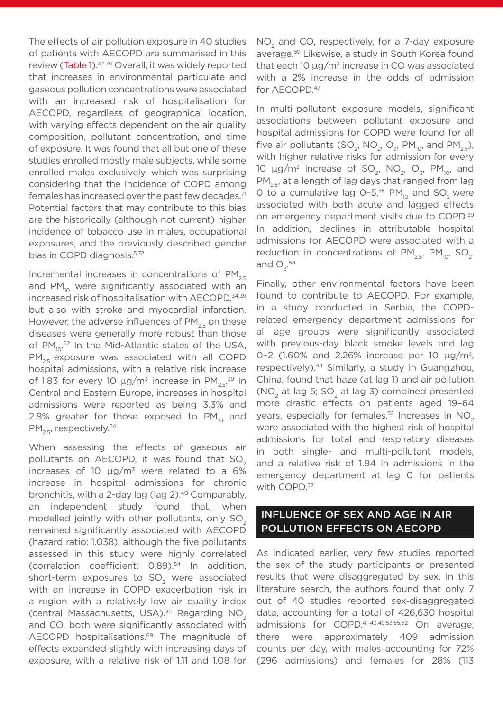The effects of air pollution exposure in 40 studies of patients with AECOPD are summarised in this review (Table 1).<sup>37-70</sup> Overall, it was widely reported that increases in environmental particulate and gaseous pollution concentrations were associated with an increased risk of hospitalisation for AECOPD, regardless of geographical location, with varying effects dependent on the air quality composition, pollutant concentration, and time of exposure. It was found that all but one of these studies enrolled mostly male subjects, while some enrolled males exclusively, which was surprising considering that the incidence of COPD among females has increased over the past few decades. $71$ Potential factors that may contribute to this bias are the historically (although not current) higher incidence of tobacco use in males, occupational exposures, and the previously described gender bias in COPD diagnosis.<sup>5,72</sup>

Incremental increases in concentrations of  $PM_{2.5}$ and PM<sub>10</sub> were significantly associated with an increased risk of hospitalisation with AECOPD, 34,39 but also with stroke and myocardial infarction. However, the adverse influences of  $PM_{25}$  on these diseases were generally more robust than those of PM<sub>10</sub>.<sup>62</sup> In the Mid-Atlantic states of the USA, PM<sub>2.5</sub> exposure was associated with all COPD hospital admissions, with a relative risk increase of 1.83 for every 10 μg/m<sup>3</sup> increase in PM<sub>2.5</sub>.<sup>39</sup> In Central and Eastern Europe, increases in hospital admissions were reported as being 3.3% and 2.8% greater for those exposed to  $PM_{10}$  and  $PM_{2.5}$ , respectively.<sup>54</sup>

When assessing the effects of gaseous air pollutants on AECOPD, it was found that SO<sub>2</sub> increases of 10  $\mu q/m^3$  were related to a 6% increase in hospital admissions for chronic bronchitis, with a 2-day lag (lag 2).<sup>40</sup> Comparably, an independent study found that, when modelled jointly with other pollutants, only  $SO<sub>2</sub>$ remained significantly associated with AECOPD (hazard ratio: 1.038), although the five pollutants assessed in this study were highly correlated (correlation coefficient: 0.89).54 In addition, short-term exposures to SO<sub>2</sub> were associated with an increase in COPD exacerbation risk in a region with a relatively low air quality index (central Massachusetts, USA).<sup>35</sup> Regarding NO<sub>2</sub> and CO, both were significantly associated with AECOPD hospitalisations.<sup>69</sup> The magnitude of effects expanded slightly with increasing days of exposure, with a relative risk of 1.11 and 1.08 for

NO<sub>2</sub> and CO, respectively, for a 7-day exposure average.69 Likewise, a study in South Korea found that each 10  $\mu$ g/m<sup>3</sup> increase in CO was associated with a 2% increase in the odds of admission for AECOPD.<sup>47</sup>

In multi-pollutant exposure models, significant associations between pollutant exposure and hospital admissions for COPD were found for all five air pollutants (SO<sub>2</sub>, NO<sub>2</sub>, O<sub>3</sub>, PM<sub>10</sub>, and PM<sub>2.5</sub>), with higher relative risks for admission for every 10 μg/m<sup>3</sup> increase of SO<sub>2</sub>, NO<sub>2</sub>, O<sub>3</sub>, PM<sub>10</sub>, and  $PM_{25}$ , at a length of lag days that ranged from lag 0 to a cumulative lag  $0-5.^{35}$  PM<sub>10</sub> and SO<sub>2</sub> were associated with both acute and lagged effects on emergency department visits due to COPD.<sup>39</sup> In addition, declines in attributable hospital admissions for AECOPD were associated with a reduction in concentrations of  $PM_{2.5}$ ,  $PM_{10}$ , SO<sub>2</sub>, and  $O_3$ <sup>58</sup>

Finally, other environmental factors have been found to contribute to AECOPD. For example, in a study conducted in Serbia, the COPDrelated emergency department admissions for all age groups were significantly associated with previous-day black smoke levels and lag 0–2 (1.60% and 2.26% increase per 10 μg/m3, respectively).44 Similarly, a study in Guangzhou, China, found that haze (at lag 1) and air pollution  $(NO<sub>2</sub> at lag 5; SO<sub>2</sub> at lag 3) combined presented$ more drastic effects on patients aged 19–64 years, especially for females. $52$  Increases in NO<sub>2</sub> were associated with the highest risk of hospital admissions for total and respiratory diseases in both single- and multi-pollutant models, and a relative risk of 1.94 in admissions in the emergency department at lag 0 for patients with COPD.52

## INFLUENCE OF SEX AND AGE IN AIR POLLUTION EFFECTS ON AECOPD

As indicated earlier, very few studies reported the sex of the study participants or presented results that were disaggregated by sex. In this literature search, the authors found that only 7 out of 40 studies reported sex-disaggregated data, accounting for a total of 426,630 hospital admissions for COPD.41-43,49,53,55,62 On average, there were approximately 409 admission counts per day, with males accounting for 72% (296 admissions) and females for 28% (113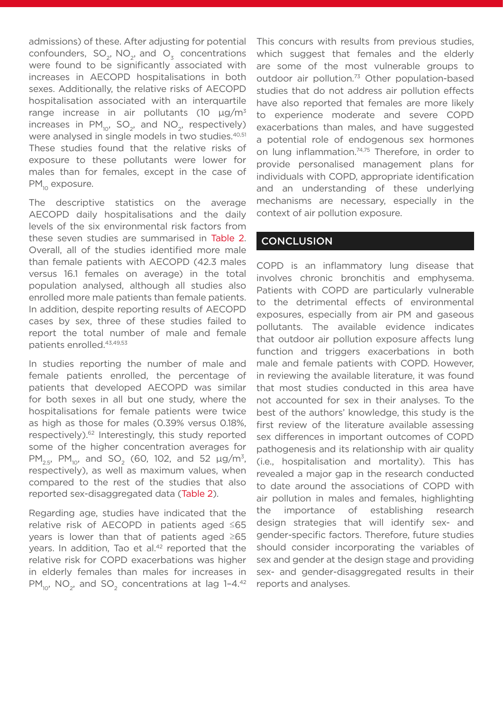admissions) of these. After adjusting for potential confounders,  $SO_2$ ,  $NO_2$ , and  $O_2$  concentrations were found to be significantly associated with increases in AECOPD hospitalisations in both sexes. Additionally, the relative risks of AECOPD hospitalisation associated with an interquartile range increase in air pollutants (10  $\mu$ g/m<sup>3</sup> increases in  $PM_{10}$ , SO<sub>2</sub>, and NO<sub>2</sub>, respectively) were analysed in single models in two studies.<sup>40,51</sup> These studies found that the relative risks of exposure to these pollutants were lower for males than for females, except in the case of PM<sub>10</sub> exposure.

The descriptive statistics on the average AECOPD daily hospitalisations and the daily levels of the six environmental risk factors from these seven studies are summarised in Table 2. Overall, all of the studies identified more male than female patients with AECOPD (42.3 males versus 16.1 females on average) in the total population analysed, although all studies also enrolled more male patients than female patients. In addition, despite reporting results of AECOPD cases by sex, three of these studies failed to report the total number of male and female patients enrolled.43,49,53

In studies reporting the number of male and female patients enrolled, the percentage of patients that developed AECOPD was similar for both sexes in all but one study, where the hospitalisations for female patients were twice as high as those for males (0.39% versus 0.18%, respectively).<sup>62</sup> Interestingly, this study reported some of the higher concentration averages for PM<sub>2.5</sub>, PM<sub>10</sub>, and SO<sub>2</sub> (60, 102, and 52  $\mu$ g/m<sup>3</sup>, respectively), as well as maximum values, when compared to the rest of the studies that also reported sex-disaggregated data (Table 2).

Regarding age, studies have indicated that the relative risk of AECOPD in patients aged ≤65 years is lower than that of patients aged ≥65 years. In addition, Tao et al.<sup>42</sup> reported that the relative risk for COPD exacerbations was higher in elderly females than males for increases in  $PM_{10}$ , NO<sub>2</sub>, and SO<sub>2</sub> concentrations at lag 1-4.<sup>42</sup>

This concurs with results from previous studies, which suggest that females and the elderly are some of the most vulnerable groups to outdoor air pollution.<sup>73</sup> Other population-based studies that do not address air pollution effects have also reported that females are more likely to experience moderate and severe COPD exacerbations than males, and have suggested a potential role of endogenous sex hormones on lung inflammation.<sup>74,75</sup> Therefore, in order to provide personalised management plans for individuals with COPD, appropriate identification and an understanding of these underlying mechanisms are necessary, especially in the context of air pollution exposure.

## **CONCLUSION**

COPD is an inflammatory lung disease that involves chronic bronchitis and emphysema. Patients with COPD are particularly vulnerable to the detrimental effects of environmental exposures, especially from air PM and gaseous pollutants. The available evidence indicates that outdoor air pollution exposure affects lung function and triggers exacerbations in both male and female patients with COPD. However, in reviewing the available literature, it was found that most studies conducted in this area have not accounted for sex in their analyses. To the best of the authors' knowledge, this study is the first review of the literature available assessing sex differences in important outcomes of COPD pathogenesis and its relationship with air quality (i.e., hospitalisation and mortality). This has revealed a major gap in the research conducted to date around the associations of COPD with air pollution in males and females, highlighting the importance of establishing research design strategies that will identify sex- and gender-specific factors. Therefore, future studies should consider incorporating the variables of sex and gender at the design stage and providing sex- and gender-disaggregated results in their reports and analyses.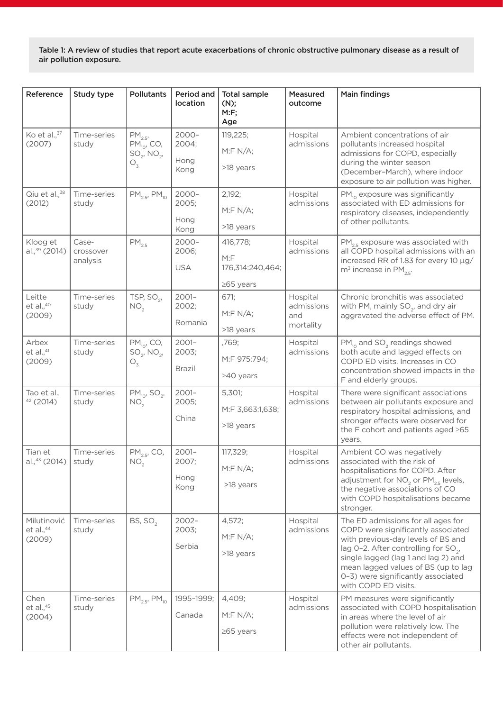Table 1: A review of studies that report acute exacerbations of chronic obstructive pulmonary disease as a result of air pollution exposure.

| Reference                                 | Study type                     | <b>Pollutants</b>                                                           | Period and<br>location            | <b>Total sample</b><br>(N);<br>M: F;<br>Age             | Measured<br>outcome                        | <b>Main findings</b>                                                                                                                                                                                                                                                                                              |
|-------------------------------------------|--------------------------------|-----------------------------------------------------------------------------|-----------------------------------|---------------------------------------------------------|--------------------------------------------|-------------------------------------------------------------------------------------------------------------------------------------------------------------------------------------------------------------------------------------------------------------------------------------------------------------------|
| Ko et al., 37<br>(2007)                   | Time-series<br>study           | PM <sub>2.5</sub><br>$PM_{10}$ , CO,<br>$SO_2$ , NO <sub>2</sub> ,<br>$O_3$ | $2000 -$<br>2004;<br>Hong<br>Kong | 119,225;<br>M: F N/A;<br>>18 years                      | Hospital<br>admissions                     | Ambient concentrations of air<br>pollutants increased hospital<br>admissions for COPD, especially<br>during the winter season<br>(December-March), where indoor<br>exposure to air pollution was higher.                                                                                                          |
| Qiu et al., <sup>38</sup><br>(2012)       | Time-series<br>study           | $PM_{2.5}$ , $PM_{10}$                                                      | $2000 -$<br>2005;<br>Hong<br>Kong | 2,192;<br>M: F N/A;<br>>18 years                        | Hospital<br>admissions                     | $PM_{10}$ exposure was significantly<br>associated with ED admissions for<br>respiratory diseases, independently<br>of other pollutants.                                                                                                                                                                          |
| Kloog et<br>al., 39 (2014)                | Case-<br>crossover<br>analysis | $PM_{2.5}$                                                                  | $2000 -$<br>2006;<br><b>USA</b>   | 416,778;<br>M: F<br>176,314:240,464;<br>$\geq$ 65 years | Hospital<br>admissions                     | $PM_{25}$ exposure was associated with<br>all COPD hospital admissions with an<br>increased RR of 1.83 for every 10 µg/<br>$m3$ increase in PM <sub>25</sub> .                                                                                                                                                    |
| Leitte<br>et al., <sup>40</sup><br>(2009) | Time-series<br>study           | TSP, $SO_2$ ,<br>NO <sub>2</sub>                                            | $2001 -$<br>2002;<br>Romania      | 671;<br>M: F N/A;<br>>18 years                          | Hospital<br>admissions<br>and<br>mortality | Chronic bronchitis was associated<br>with PM, mainly $SO_2$ , and dry air<br>aggravated the adverse effect of PM.                                                                                                                                                                                                 |
| Arbex<br>et al., $41$<br>(2009)           | Time-series<br>study           | $PM_{10}$ , CO,<br>$SO_2$ , NO <sub>2</sub> ,<br>$O_3$                      | $2001 -$<br>2003;<br>Brazil       | ,769;<br>M:F 975:794;<br>$\geq$ 40 years                | Hospital<br>admissions                     | $PM_{10}$ and SO <sub>2</sub> readings showed<br>both acute and lagged effects on<br>COPD ED visits. Increases in CO<br>concentration showed impacts in the<br>F and elderly groups.                                                                                                                              |
| Tao et al.,<br>42(2014)                   | Time-series<br>study           | $PM_{10}$ , SO <sub>2</sub> ,<br>NO <sub>2</sub>                            | $2001 -$<br>2005;<br>China        | 5,301;<br>M:F 3,663:1,638;<br>>18 years                 | Hospital<br>admissions                     | There were significant associations<br>between air pollutants exposure and<br>respiratory hospital admissions, and<br>stronger effects were observed for<br>the F cohort and patients aged ≥65<br>years.                                                                                                          |
| Tian et<br>al., <sup>43</sup> (2014)      | Time-series<br>study           | $PM2.5$ , CO,<br>$\mathsf{NO_2}$                                            | $2001 -$<br>2007;<br>Hong<br>Kong | 117,329;<br>M: F N/A;<br>>18 years                      | Hospital<br>admissions                     | Ambient CO was negatively<br>associated with the risk of<br>hospitalisations for COPD. After<br>adjustment for NO <sub>2</sub> or PM <sub>2.5</sub> levels,<br>the negative associations of CO<br>with COPD hospitalisations became<br>stronger.                                                                  |
| Milutinović<br>et al., $44$<br>(2009)     | Time-series<br>study           | BS, SO <sub>2</sub>                                                         | $2002 -$<br>2003;<br>Serbia       | 4,572;<br>M: F N/A;<br>>18 years                        | Hospital<br>admissions                     | The ED admissions for all ages for<br>COPD were significantly associated<br>with previous-day levels of BS and<br>lag $0-2$ . After controlling for SO <sub>2</sub> ,<br>single lagged (lag 1 and lag 2) and<br>mean lagged values of BS (up to lag<br>0-3) were significantly associated<br>with COPD ED visits. |
| Chen<br>et al., $45$<br>(2004)            | Time-series<br>study           | $PM_{2.5}$ , $PM_{10}$                                                      | 1995-1999;<br>Canada              | 4,409;<br>M: F N/A;<br>$\geq$ 65 years                  | Hospital<br>admissions                     | PM measures were significantly<br>associated with COPD hospitalisation<br>in areas where the level of air<br>pollution were relatively low. The<br>effects were not independent of<br>other air pollutants.                                                                                                       |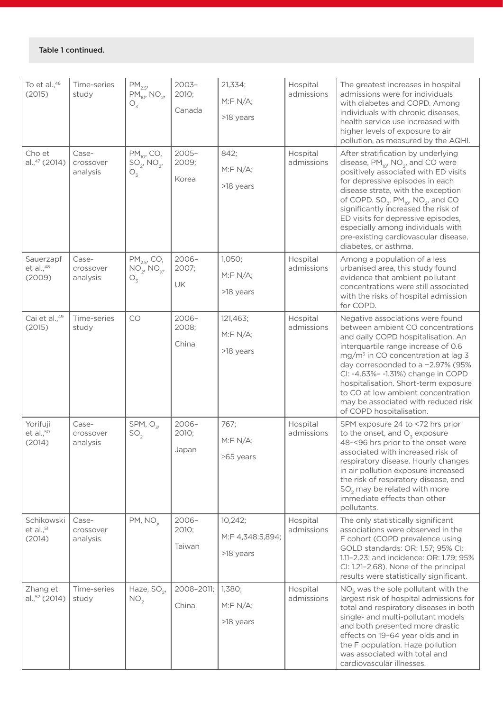| To et al., <sup>46</sup><br>(2015)    | Time-series<br>study           | $PM_{2.5}$<br>$PM_{10}$ , NO <sub>2</sub> ,<br>$O_{\overline{3}}$   | $2003 -$<br>2010;<br>Canada | 21,334;<br>M: F N/A;<br>>18 years        | Hospital<br>admissions | The greatest increases in hospital<br>admissions were for individuals<br>with diabetes and COPD. Among<br>individuals with chronic diseases,<br>health service use increased with<br>higher levels of exposure to air<br>pollution, as measured by the AQHI.                                                                                                                                                                                                 |
|---------------------------------------|--------------------------------|---------------------------------------------------------------------|-----------------------------|------------------------------------------|------------------------|--------------------------------------------------------------------------------------------------------------------------------------------------------------------------------------------------------------------------------------------------------------------------------------------------------------------------------------------------------------------------------------------------------------------------------------------------------------|
| Cho et<br>al.,47 (2014)               | Case-<br>crossover<br>analysis | $PM_{10}$ , CO,<br>$SO_2$ , NO <sub>2</sub> ,<br>$O_{\overline{3}}$ | $2005 -$<br>2009;<br>Korea  | 842;<br>M: F N/A;<br>>18 years           | Hospital<br>admissions | After stratification by underlying<br>disease, $PM_{10}$ , NO <sub>2</sub> , and CO were<br>positively associated with ED visits<br>for depressive episodes in each<br>disease strata, with the exception<br>of COPD. $SO_2$ , PM <sub>10</sub> , NO <sub>2</sub> , and CO<br>significantly increased the risk of<br>ED visits for depressive episodes,<br>especially among individuals with<br>pre-existing cardiovascular disease,<br>diabetes, or asthma. |
| Sauerzapf<br>et al., $48$<br>(2009)   | Case-<br>crossover<br>analysis | $PM2.5$ , CO,<br>$NO_{2}^{\sim}NO_{x}$ ,<br>$O_{\overline{3}}$      | $2006 -$<br>2007;<br>UK     | 1,050;<br>M: F N/A;<br>>18 years         | Hospital<br>admissions | Among a population of a less<br>urbanised area, this study found<br>evidence that ambient pollutant<br>concentrations were still associated<br>with the risks of hospital admission<br>for COPD.                                                                                                                                                                                                                                                             |
| Cai et al.,49<br>(2015)               | Time-series<br>study           | CO                                                                  | $2006 -$<br>2008;<br>China  | 121,463;<br>M: F N/A;<br>>18 years       | Hospital<br>admissions | Negative associations were found<br>between ambient CO concentrations<br>and daily COPD hospitalisation. An<br>interquartile range increase of 0.6<br>mg/m <sup>3</sup> in CO concentration at lag 3<br>day corresponded to a -2.97% (95%<br>CI: -4.63%- -1.31%) change in COPD<br>hospitalisation. Short-term exposure<br>to CO at low ambient concentration<br>may be associated with reduced risk<br>of COPD hospitalisation.                             |
| Yorifuji<br>et al., $50$<br>(2014)    | Case-<br>crossover<br>analysis | SPM, $O_{3}$ ,<br>SO <sub>2</sub>                                   | $2006 -$<br>2010;<br>Japan  | 767;<br>M: F N/A;<br>$\geq$ 65 years     | Hospital<br>admissions | SPM exposure 24 to <72 hrs prior<br>to the onset, and $O_3$ exposure<br>48-<96 hrs prior to the onset were<br>associated with increased risk of<br>respiratory disease. Hourly changes<br>in air pollution exposure increased<br>the risk of respiratory disease, and<br>SO <sub>2</sub> may be related with more<br>immediate effects than other<br>pollutants.                                                                                             |
| Schikowski<br>et al., $51$<br>(2014)  | Case-<br>crossover<br>analysis | $PM, NO_x$                                                          | $2006 -$<br>2010;<br>Taiwan | 10,242;<br>M:F 4,348:5,894;<br>>18 years | Hospital<br>admissions | The only statistically significant<br>associations were observed in the<br>F cohort (COPD prevalence using<br>GOLD standards: OR: 1.57; 95% CI:<br>1.11-2.23; and incidence: OR: 1.79; 95%<br>CI: 1.21-2.68). None of the principal<br>results were statistically significant.                                                                                                                                                                               |
| Zhang et<br>al., <sup>52</sup> (2014) | Time-series<br>study           | Haze, SO <sub>2</sub> ,<br>NO <sub>2</sub>                          | 2008-2011;<br>China         | 1,380;<br>M: F N/A;<br>>18 years         | Hospital<br>admissions | NO <sub>2</sub> was the sole pollutant with the<br>largest risk of hospital admissions for<br>total and respiratory diseases in both<br>single- and multi-pollutant models<br>and both presented more drastic<br>effects on 19-64 year olds and in<br>the F population. Haze pollution<br>was associated with total and<br>cardiovascular illnesses.                                                                                                         |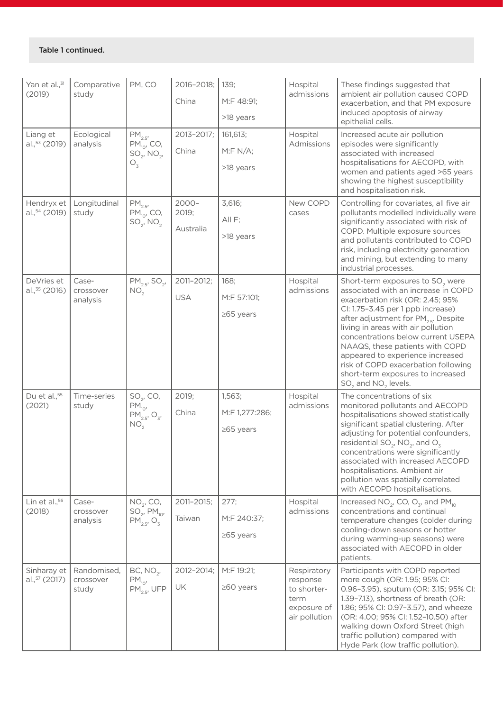| Yan et al., 31<br>(2019)                | Comparative<br>study              | PM, CO                                                                              | 2016-2018;<br>China            | 139;<br>M:F 48:91;                          | Hospital<br>admissions                                                         | These findings suggested that<br>ambient air pollution caused COPD<br>exacerbation, and that PM exposure                                                                                                                                                                                                                                                                                                                                                                             |
|-----------------------------------------|-----------------------------------|-------------------------------------------------------------------------------------|--------------------------------|---------------------------------------------|--------------------------------------------------------------------------------|--------------------------------------------------------------------------------------------------------------------------------------------------------------------------------------------------------------------------------------------------------------------------------------------------------------------------------------------------------------------------------------------------------------------------------------------------------------------------------------|
|                                         |                                   |                                                                                     |                                | >18 years                                   |                                                                                | induced apoptosis of airway<br>epithelial cells.                                                                                                                                                                                                                                                                                                                                                                                                                                     |
| Liang et<br>al., 53 (2019)              | Ecological<br>analysis            | $PM_{25}$<br>$PM_{10'}$ , CO,<br>$SO_2$ , NO <sub>2</sub> ,<br>$O_{\rm z}$          | 2013-2017;<br>China            | 161,613;<br>M:FN/A;                         | Hospital<br>Admissions                                                         | Increased acute air pollution<br>episodes were significantly<br>associated with increased<br>hospitalisations for AECOPD, with                                                                                                                                                                                                                                                                                                                                                       |
|                                         |                                   |                                                                                     |                                | >18 years                                   |                                                                                | women and patients aged >65 years<br>showing the highest susceptibility<br>and hospitalisation risk.                                                                                                                                                                                                                                                                                                                                                                                 |
| Hendryx et<br>al., 54 (2019)            | Longitudinal<br>study             | $PM_{2.5}$<br>$PM_{10}$ , CO,<br>$SO_2$ , NO <sub>2</sub>                           | $2000 -$<br>2019;<br>Australia | 3,616;<br>All F;<br>>18 years               | New COPD<br>cases                                                              | Controlling for covariates, all five air<br>pollutants modelled individually were<br>significantly associated with risk of<br>COPD. Multiple exposure sources<br>and pollutants contributed to COPD<br>risk, including electricity generation<br>and mining, but extending to many<br>industrial processes.                                                                                                                                                                          |
| DeVries et<br>al., <sup>35</sup> (2016) | Case-<br>crossover<br>analysis    | $PM_{2.5}$ , SO <sub>2</sub> ,<br>NO <sub>2</sub>                                   | 2011-2012;<br><b>USA</b>       | 168;<br>M:F 57:101;<br>$\geq$ 65 years      | Hospital<br>admissions                                                         | Short-term exposures to SO <sub>2</sub> were<br>associated with an increase in COPD<br>exacerbation risk (OR: 2.45; 95%<br>CI: 1.75-3.45 per 1 ppb increase)<br>after adjustment for PM <sub>2.5</sub> . Despite<br>living in areas with air pollution<br>concentrations below current USEPA<br>NAAQS, these patients with COPD<br>appeared to experience increased<br>risk of COPD exacerbation following<br>short-term exposures to increased<br>$SO2$ and NO <sub>2</sub> levels. |
| Du et al., <sup>55</sup><br>(2021)      | Time-series<br>study              | $SO_2$ , CO,<br>$PM_{10}$<br>$PM_{2.5}$ , O <sub>3</sub> ,<br>NO <sub>2</sub>       | 2019;<br>China                 | 1,563;<br>M:F 1,277:286;<br>$\geq$ 65 years | Hospital<br>admissions                                                         | The concentrations of six<br>monitored pollutants and AECOPD<br>hospitalisations showed statistically<br>significant spatial clustering. After<br>adjusting for potential confounders,<br>residential $SO_2$ , NO <sub>2</sub> , and O <sub>3</sub><br>concentrations were significantly<br>associated with increased AECOPD<br>hospitalisations. Ambient air<br>pollution was spatially correlated<br>with AECOPD hospitalisations.                                                 |
| Lin et al., $56$<br>(2018)              | Case-<br>crossover<br>analysis    | NO <sub>2</sub> , CO,<br>$SO_2$ , PM <sub>10</sub> ,<br>$PM_{2.5}$ , O <sub>3</sub> | 2011-2015;<br>Taiwan           | 277;<br>M:F 240:37;<br>$\geq$ 65 years      | Hospital<br>admissions                                                         | Increased $NO_2$ , CO, $O_3$ , and PM <sub>10</sub><br>concentrations and continual<br>temperature changes (colder during<br>cooling-down seasons or hotter<br>during warming-up seasons) were<br>associated with AECOPD in older<br>patients.                                                                                                                                                                                                                                       |
| Sinharay et<br>al., 57 (2017)           | Randomised,<br>crossover<br>study | BC, NO <sub>2</sub> ,<br>$PM_{10}$<br>$PM_{2.5}^{\sim}$ , UFP                       | 2012-2014;<br>UK               | M:F 19:21;<br>$\geq 60$ years               | Respiratory<br>response<br>to shorter-<br>term<br>exposure of<br>air pollution | Participants with COPD reported<br>more cough (OR: 1.95; 95% CI:<br>0.96-3.95), sputum (OR: 3.15; 95% CI:<br>1.39-7.13), shortness of breath (OR:<br>1.86; 95% CI: 0.97-3.57), and wheeze<br>(OR: 4.00; 95% Cl: 1.52-10.50) after<br>walking down Oxford Street (high<br>traffic pollution) compared with<br>Hyde Park (low traffic pollution).                                                                                                                                      |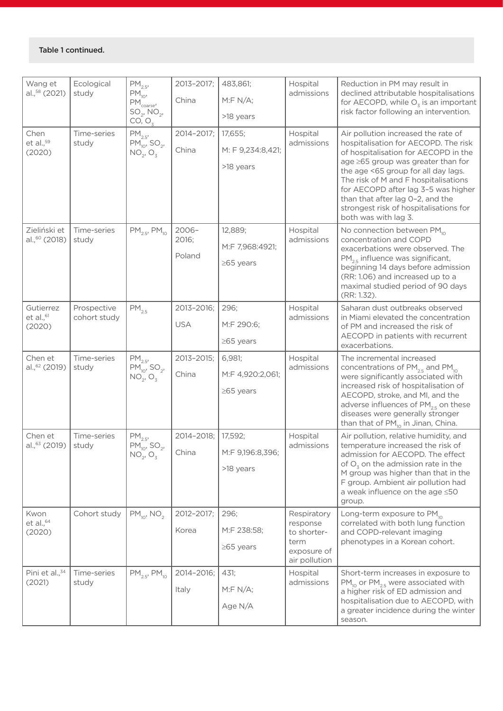| Wang et                                   | Ecological           | PM <sub>2.5</sub>                                                               | 2013-2017;        | 483,861;          | Hospital                | Reduction in PM may result in<br>declined attributable hospitalisations<br>for AECOPD, while $O_3$ is an important                                                                                                                                             |  |  |
|-------------------------------------------|----------------------|---------------------------------------------------------------------------------|-------------------|-------------------|-------------------------|----------------------------------------------------------------------------------------------------------------------------------------------------------------------------------------------------------------------------------------------------------------|--|--|
| al., <sup>58</sup> (2021)                 | study                | $PM_{10}$<br>$PM_{\text{coarse}}^{\sim}$<br>SO <sub>2</sub> , NO <sub>2</sub> , | China             | M: F N/A;         | admissions              |                                                                                                                                                                                                                                                                |  |  |
|                                           |                      | CO, O <sub>3</sub>                                                              |                   | >18 years         |                         | risk factor following an intervention.                                                                                                                                                                                                                         |  |  |
| Chen                                      | Time-series<br>study | $PM_{2.5}$                                                                      | 2014-2017;        | 17,655;           | Hospital<br>admissions  | Air pollution increased the rate of<br>hospitalisation for AECOPD. The risk                                                                                                                                                                                    |  |  |
| et al., $59$<br>(2020)                    |                      | $PM_{10}$ , SO <sub>2</sub> ,<br>$NO_2, O_3$                                    | China             | M: F 9,234:8,421; |                         | of hospitalisation for AECOPD in the                                                                                                                                                                                                                           |  |  |
|                                           |                      |                                                                                 |                   | >18 years         |                         | age ≥65 group was greater than for<br>the age <65 group for all day lags.<br>The risk of M and F hospitalisations<br>for AECOPD after lag 3-5 was higher<br>than that after lag 0-2, and the<br>strongest risk of hospitalisations for<br>both was with lag 3. |  |  |
| Zieliński et<br>al., <sup>60</sup> (2018) | Time-series<br>study | $PM_{2.5}$ , $PM_{10}$                                                          | $2006 -$<br>2016; | 12,889;           | Hospital<br>admissions  | No connection between PM <sub>10</sub><br>concentration and COPD                                                                                                                                                                                               |  |  |
|                                           |                      |                                                                                 | Poland            | M:F 7,968:4921;   |                         | exacerbations were observed. The                                                                                                                                                                                                                               |  |  |
|                                           |                      |                                                                                 |                   | $\geq$ 65 years   |                         | PM <sub>25</sub> influence was significant,<br>beginning 14 days before admission                                                                                                                                                                              |  |  |
|                                           |                      |                                                                                 |                   |                   |                         | (RR: 1.06) and increased up to a<br>maximal studied period of 90 days                                                                                                                                                                                          |  |  |
| Gutierrez                                 | Prospective          | $PM_{2.5}$                                                                      | 2013-2016;        | 296;              | Hospital                | (RR: 1.32).<br>Saharan dust outbreaks observed                                                                                                                                                                                                                 |  |  |
| et al. <sup>61</sup>                      | cohort study         |                                                                                 | <b>USA</b>        | M:F 290:6;        | admissions              | in Miami elevated the concentration                                                                                                                                                                                                                            |  |  |
| (2020)                                    |                      |                                                                                 |                   | $\geq$ 65 years   |                         | of PM and increased the risk of<br>AECOPD in patients with recurrent                                                                                                                                                                                           |  |  |
|                                           |                      |                                                                                 | 2013-2015;        | 6,981;            | Hospital                | exacerbations.                                                                                                                                                                                                                                                 |  |  |
| Chen et<br>al., <sup>62</sup> (2019)      | Time-series<br>study | $PM_{2.5'}$<br>$PM_{10'}$ , SO <sub>2</sub> ,<br>$NO_2$ , $O_3$                 |                   |                   | admissions              | The incremental increased<br>concentrations of $PM_{2.5}$ and $PM_{10}$                                                                                                                                                                                        |  |  |
|                                           |                      |                                                                                 | China             | M:F 4,920:2,061;  |                         | were significantly associated with<br>increased risk of hospitalisation of                                                                                                                                                                                     |  |  |
|                                           |                      |                                                                                 |                   | $\geq$ 65 years   |                         | AECOPD, stroke, and MI, and the<br>adverse influences of PM <sub>2.5</sub> on these                                                                                                                                                                            |  |  |
|                                           |                      |                                                                                 |                   |                   |                         | diseases were generally stronger<br>than that of PM <sub>10</sub> in Jinan, China.                                                                                                                                                                             |  |  |
| Chen et                                   | Time-series          | $PM_{2.5}$                                                                      | 2014-2018;        | 17,592;           | Hospital                | Air pollution, relative humidity, and                                                                                                                                                                                                                          |  |  |
| al., <sup>63</sup> (2019)                 | study                | $PM_{10}$ , SO <sub>2</sub> ,<br>$NO_2, O_3$                                    | China             | M:F 9,196:8,396;  | admissions              | temperature increased the risk of<br>admission for AECOPD. The effect                                                                                                                                                                                          |  |  |
|                                           |                      |                                                                                 |                   | >18 years         |                         | of $Oz$ on the admission rate in the                                                                                                                                                                                                                           |  |  |
|                                           |                      |                                                                                 |                   |                   |                         | M group was higher than that in the<br>F group. Ambient air pollution had                                                                                                                                                                                      |  |  |
|                                           |                      |                                                                                 |                   |                   |                         | a weak influence on the age ≤50<br>group.                                                                                                                                                                                                                      |  |  |
| Kwon                                      | Cohort study         | $PM_{10}$ , NO <sub>2</sub>                                                     | 2012-2017;        | 296;              | Respiratory             | Long-term exposure to PM <sub>10</sub>                                                                                                                                                                                                                         |  |  |
| et al., $64$<br>(2020)                    |                      |                                                                                 | Korea             | M:F 238:58;       | response<br>to shorter- | correlated with both lung function<br>and COPD-relevant imaging                                                                                                                                                                                                |  |  |
|                                           |                      |                                                                                 |                   | $\geq$ 65 years   | term<br>exposure of     | phenotypes in a Korean cohort.                                                                                                                                                                                                                                 |  |  |
|                                           |                      |                                                                                 |                   |                   | air pollution           |                                                                                                                                                                                                                                                                |  |  |
| Pini et al., <sup>34</sup><br>(2021)      | Time-series<br>study | $PM_{2.5}$ , $PM_{10}$                                                          | 2014-2016;        | 431;              | Hospital<br>admissions  | Short-term increases in exposure to<br>$PM_{10}$ or $PM_{25}$ were associated with                                                                                                                                                                             |  |  |
|                                           |                      |                                                                                 | Italy             | M: F N/A;         |                         | a higher risk of ED admission and<br>hospitalisation due to AECOPD, with                                                                                                                                                                                       |  |  |
|                                           |                      |                                                                                 |                   | Age N/A           |                         | a greater incidence during the winter                                                                                                                                                                                                                          |  |  |
|                                           |                      |                                                                                 |                   |                   |                         | season.                                                                                                                                                                                                                                                        |  |  |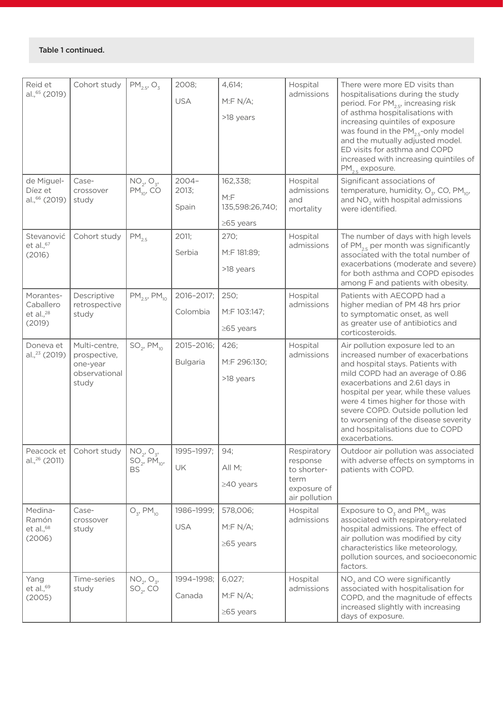| Reid et<br>al., <sup>65</sup> (2019)<br>de Miguel-  | Cohort study<br>Case-                                               | $PM_{2.5}$ , O <sub>3</sub><br>$NO_2$ , $O_3$ , | 2008;<br><b>USA</b><br>$2004 -$ | 4,614;<br>M: F N/A;<br>>18 years<br>162,338; | Hospital<br>admissions<br>Hospital                                             | There were more ED visits than<br>hospitalisations during the study<br>period. For PM <sub>2.5</sub> , increasing risk<br>of asthma hospitalisations with<br>increasing quintiles of exposure<br>was found in the PM <sub>2.5</sub> -only model<br>and the mutually adjusted model.<br>ED visits for asthma and COPD<br>increased with increasing quintiles of<br>$PM_{25}$ exposure.<br>Significant associations of |
|-----------------------------------------------------|---------------------------------------------------------------------|-------------------------------------------------|---------------------------------|----------------------------------------------|--------------------------------------------------------------------------------|----------------------------------------------------------------------------------------------------------------------------------------------------------------------------------------------------------------------------------------------------------------------------------------------------------------------------------------------------------------------------------------------------------------------|
| Díez et<br>al., 66 (2019)                           | crossover<br>study                                                  | $PM_{10}$ , CO                                  | 2013;<br>Spain                  | M: F<br>135,598:26,740;<br>$\geq$ 65 years   | admissions<br>and<br>mortality                                                 | temperature, humidity, $O_{z}$ , CO, PM <sub>10</sub> ,<br>and NO <sub>2</sub> with hospital admissions<br>were identified.                                                                                                                                                                                                                                                                                          |
| Stevanović<br>et al., $67$<br>(2016)                | Cohort study                                                        | $PM_{2.5}$                                      | 2011;<br>Serbia                 | 270;<br>M:F 181:89;<br>>18 years             | Hospital<br>admissions                                                         | The number of days with high levels<br>of PM <sub>25</sub> per month was significantly<br>associated with the total number of<br>exacerbations (moderate and severe)<br>for both asthma and COPD episodes<br>among F and patients with obesity.                                                                                                                                                                      |
| Morantes-<br>Caballero<br>et al., $^{28}$<br>(2019) | Descriptive<br>retrospective<br>study                               | $PM_{2.5}$ , $PM_{10}$                          | 2016-2017;<br>Colombia          | 250;<br>M:F 103:147;<br>$\geq$ 65 years      | Hospital<br>admissions                                                         | Patients with AECOPD had a<br>higher median of PM 48 hrs prior<br>to symptomatic onset, as well<br>as greater use of antibiotics and<br>corticosteroids.                                                                                                                                                                                                                                                             |
| Doneva et<br>al., <sup>23</sup> (2019)              | Multi-centre,<br>prospective,<br>one-year<br>observational<br>study | $SO_2$ , PM <sub>10</sub>                       | 2015-2016;<br><b>Bulgaria</b>   | 426;<br>M:F 296:130;<br>>18 years            | Hospital<br>admissions                                                         | Air pollution exposure led to an<br>increased number of exacerbations<br>and hospital stays. Patients with<br>mild COPD had an average of 0.86<br>exacerbations and 2.61 days in<br>hospital per year, while these values<br>were 4 times higher for those with<br>severe COPD. Outside pollution led<br>to worsening of the disease severity<br>and hospitalisations due to COPD<br>exacerbations.                  |
| al., <sup>26</sup> (2011)                           | Peacock et   Cohort study                                           | $NO_2, O_3,$<br>$SO_2, PM_{10},$<br><b>BS</b>   | 1995-1997;<br>UK                | 94;<br>All M;<br>$\geq$ 40 years             | Respiratory<br>response<br>to shorter-<br>term<br>exposure of<br>air pollution | Outdoor air pollution was associated<br>with adverse effects on symptoms in<br>patients with COPD.                                                                                                                                                                                                                                                                                                                   |
| Medina-<br>Ramón<br>$et$ al., $68$<br>(2006)        | Case-<br>crossover<br>study                                         | $O_{3}$ , PM <sub>10</sub>                      | 1986-1999;<br><b>USA</b>        | 578,006;<br>M: F N/A;<br>$\geq$ 65 years     | Hospital<br>admissions                                                         | Exposure to $O_3$ and PM <sub>10</sub> was<br>associated with respiratory-related<br>hospital admissions. The effect of<br>air pollution was modified by city<br>characteristics like meteorology,<br>pollution sources, and socioeconomic<br>factors.                                                                                                                                                               |
| Yang<br>et al., $69$<br>(2005)                      | Time-series<br>study                                                | $NO_2$ , $O_3$ ,<br>$SO_2, CO$                  | 1994-1998;<br>Canada            | 6,027;<br>M: F N/A;<br>$\geq$ 65 years       | Hospital<br>admissions                                                         | NO <sub>2</sub> and CO were significantly<br>associated with hospitalisation for<br>COPD, and the magnitude of effects<br>increased slightly with increasing<br>days of exposure.                                                                                                                                                                                                                                    |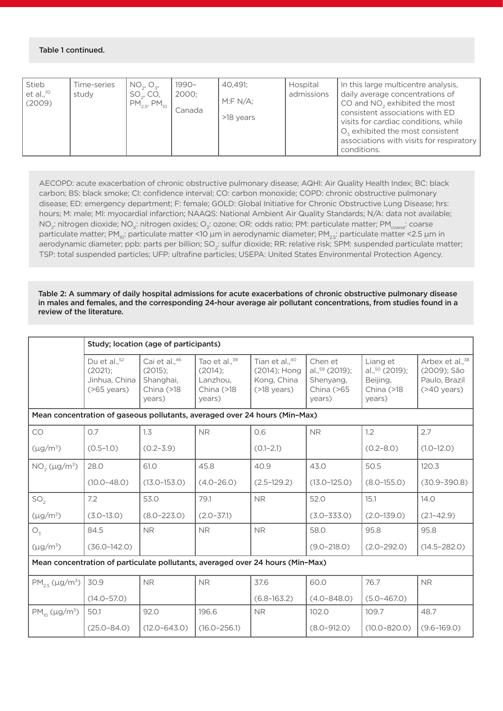| Stieb<br>et al., $70$<br>(2009) | Time-series<br>study | NO <sub>2</sub> , O <sub>z</sub><br>SO <sub>2</sub> , CO,<br>$PM_{2.5}$ , PM <sub>10</sub> | $1990 -$<br>2000:<br>Canada | 40.491:<br>M:F N/A;<br>>18 years | Hospital<br>admissions | In this large multicentre analysis,<br>daily average concentrations of<br>CO and NO <sub>2</sub> exhibited the most<br>consistent associations with ED<br>visits for cardiac conditions, while<br>$Oz$ exhibited the most consistent<br>associations with visits for respiratory<br>conditions. |
|---------------------------------|----------------------|--------------------------------------------------------------------------------------------|-----------------------------|----------------------------------|------------------------|-------------------------------------------------------------------------------------------------------------------------------------------------------------------------------------------------------------------------------------------------------------------------------------------------|
|---------------------------------|----------------------|--------------------------------------------------------------------------------------------|-----------------------------|----------------------------------|------------------------|-------------------------------------------------------------------------------------------------------------------------------------------------------------------------------------------------------------------------------------------------------------------------------------------------|

AECOPD: acute exacerbation of chronic obstructive pulmonary disease; AQHI: Air Quality Health Index; BC: black carbon; BS: black smoke; CI: confidence interval; CO: carbon monoxide; COPD: chronic obstructive pulmonary disease; ED: emergency department; F: female; GOLD: Global Initiative for Chronic Obstructive Lung Disease; hrs: hours; M: male; MI: myocardial infarction; NAAQS: National Ambient Air Quality Standards; N/A: data not available; NO<sub>2</sub>: nitrogen dioxide; NO<sub>x</sub>: nitrogen oxides; O<sub>3</sub>: ozone; OR: odds ratio; PM: particulate matter; PM<sub>coarse</sub>: coarse particulate matter; PM<sub>10</sub>: particulate matter <10 µm in aerodynamic diameter; PM<sub>2.5</sub>: particulate matter <2.5 µm in aerodynamic diameter; ppb: parts per billion; SO<sub>2</sub>: sulfur dioxide; RR: relative risk; SPM: suspended particulate matter; TSP: total suspended particles; UFP: ultrafine particles; USEPA: United States Environmental Protection Agency.

Table 2: A summary of daily hospital admissions for acute exacerbations of chronic obstructive pulmonary disease in males and females, and the corresponding 24-hour average air pollutant concentrations, from studies found in a review of the literature.

|                                                                                | Study; location (age of participants)                                     |                                                                  |                                                                                |                                                                             |                                                                   |                                                                   |                                                                               |  |  |  |  |
|--------------------------------------------------------------------------------|---------------------------------------------------------------------------|------------------------------------------------------------------|--------------------------------------------------------------------------------|-----------------------------------------------------------------------------|-------------------------------------------------------------------|-------------------------------------------------------------------|-------------------------------------------------------------------------------|--|--|--|--|
|                                                                                | Du et al., <sup>52</sup><br>$(2021)$ :<br>Jinhua, China<br>$($ >65 years) | Cai et al.,46<br>(2015):<br>Shanghai,<br>China $($ >18<br>years) | Tao et al., <sup>39</sup><br>$(2014)$ :<br>Lanzhou.<br>China $($ >18<br>years) | Tian et al., <sup>40</sup><br>(2014); Hong<br>Kong, China<br>$($ >18 years) | Chen et<br>al., $59$ (2019);<br>Shenyang,<br>China (>65<br>years) | Liang et<br>al., $50$ (2019);<br>Beijing,<br>China (>18<br>years) | Arbex et al., <sup>38</sup><br>(2009); São<br>Paulo, Brazil<br>$($ >40 years) |  |  |  |  |
|                                                                                |                                                                           |                                                                  | Mean concentration of gaseous pollutants, averaged over 24 hours (Min-Max)     |                                                                             |                                                                   |                                                                   |                                                                               |  |  |  |  |
| CO                                                                             | 0.7                                                                       | 1.3                                                              | N <sub>R</sub>                                                                 | 0.6                                                                         | <b>NR</b>                                                         | 1.2                                                               | 2.7                                                                           |  |  |  |  |
| $(\mu g/m^3)$                                                                  | $(0.5 - 1.0)$                                                             | $(0.2 - 3.9)$                                                    |                                                                                | $(0.1 - 2.1)$                                                               |                                                                   | $(0.2 - 8.0)$                                                     | $(1.0 - 12.0)$                                                                |  |  |  |  |
| $NO2 (\mu g/m3)$                                                               | 28.0                                                                      | 61.0                                                             | 45.8                                                                           | 40.9                                                                        | 43.0                                                              | 50.5                                                              | 120.3                                                                         |  |  |  |  |
|                                                                                | $(10.0 - 48.0)$                                                           | $(13.0 - 153.0)$                                                 | $(4.0 - 26.0)$                                                                 | $(2.5 - 129.2)$                                                             | $(13.0 - 125.0)$                                                  | $(8.0 - 155.0)$                                                   | $(30.9 - 390.8)$                                                              |  |  |  |  |
| SO <sub>2</sub>                                                                | 7.2                                                                       | 53.0                                                             | 79.1                                                                           | <b>NR</b>                                                                   | 52.0                                                              | 15.1                                                              | 14.0                                                                          |  |  |  |  |
| $(\mu g/m^3)$                                                                  | $(3.0 - 13.0)$                                                            | $(8.0 - 223.0)$                                                  | $(2.0 - 37.1)$                                                                 |                                                                             | $(3.0 - 333.0)$                                                   | $(2.0 - 139.0)$                                                   | $(2.1 - 42.9)$                                                                |  |  |  |  |
| $O_3$                                                                          | 84.5                                                                      | <b>NR</b>                                                        | <b>NR</b>                                                                      | <b>NR</b>                                                                   | 58.0                                                              | 95.8                                                              | 95.8                                                                          |  |  |  |  |
| $(\mu g/m^3)$                                                                  | $(36.0 - 142.0)$                                                          |                                                                  |                                                                                |                                                                             | $(9.0 - 218.0)$                                                   | $(2.0 - 292.0)$                                                   | $(14.5 - 282.0)$                                                              |  |  |  |  |
| Mean concentration of particulate pollutants, averaged over 24 hours (Min-Max) |                                                                           |                                                                  |                                                                                |                                                                             |                                                                   |                                                                   |                                                                               |  |  |  |  |
| $PM_{25}$ (µg/m <sup>3</sup> )                                                 | 30.9                                                                      | <b>NR</b>                                                        | <b>NR</b>                                                                      | 37.6                                                                        | 60.0                                                              | 76.7                                                              | <b>NR</b>                                                                     |  |  |  |  |
|                                                                                | $(14.0 - 57.0)$                                                           |                                                                  |                                                                                | $(6.8 - 163.2)$                                                             | $(4.0 - 848.0)$                                                   | $(5.0 - 467.0)$                                                   |                                                                               |  |  |  |  |
| $PM_{10}$ (µg/m <sup>3</sup> )                                                 | 50.1                                                                      | 92.0                                                             | 196.6                                                                          | <b>NR</b>                                                                   | 102.0                                                             | 109.7                                                             | 48.7                                                                          |  |  |  |  |
|                                                                                | $(25.0 - 84.0)$                                                           | $(12.0 - 643.0)$                                                 | $(16.0 - 256.1)$                                                               |                                                                             | $(8.0 - 912.0)$                                                   | $(10.0 - 820.0)$                                                  | $(9.6 - 169.0)$                                                               |  |  |  |  |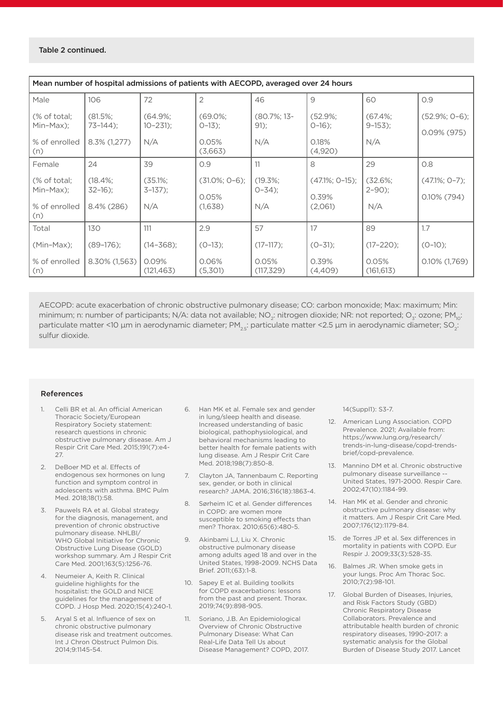| Mean number of hospital admissions of patients with AECOPD, averaged over 24 hours |                 |                     |                  |                     |                   |                     |                  |  |  |  |
|------------------------------------------------------------------------------------|-----------------|---------------------|------------------|---------------------|-------------------|---------------------|------------------|--|--|--|
| Male                                                                               | 106             | 72                  | $\overline{2}$   | 46                  | 9                 | 60                  | O.9              |  |  |  |
| (% of total;                                                                       | $(81.5\%;$      | $(64.9\%;$          | $(69.0\%$        | $(80.7\%; 13-$      | $(52.9\%;$        | $(67.4\%$           | $(52.9\%; 0-6);$ |  |  |  |
| Min-Max);                                                                          | $73-144$ :      | $10 - 231$ :        | $0-13$ :         | $91$ :              | $0-16$ :          | $9-153$ :           | $0.09\%$ (975)   |  |  |  |
| % of enrolled                                                                      | $8.3\%$ (1,277) | N/A                 | 0.05%            | N/A                 | 0.18%             | N/A                 |                  |  |  |  |
| (n)                                                                                |                 |                     | (3,663)          |                     | (4,920)           |                     |                  |  |  |  |
| Female                                                                             | 24              | 39                  | O.9              | 11                  | 8                 | 29                  | O.8              |  |  |  |
| (% of total;                                                                       | $(18.4\%$       | $(35.1\%$           | $(31.0\%; 0-6);$ | $(19.3\%$           | $(47.1\%; 0-15);$ | $(32.6\%$           | $(47.1\%; 0-7);$ |  |  |  |
| Min-Max);                                                                          | $32-16$ :       | $3-137$ :           | 0.05%            | $0 - 34$ ;          | 0.39%             | $2 - 90$ ;          | $0.10\%$ (794)   |  |  |  |
| % of enrolled<br>(n)                                                               | 8.4% (286)      | N/A                 | (1,638)          | N/A                 | (2,061)           | N/A                 |                  |  |  |  |
| Total                                                                              | 130             | 111                 | 2.9              | 57                  | 17                | 89                  | 1.7              |  |  |  |
| $(Min-Max)$ ;                                                                      | $(89-176)$ ;    | $(14 - 368)$ ;      | $(O-13)$ ;       | $(17-117)$ ;        | $(O-31)$ ;        | $(17-220)$ ;        | $(0-10)$ ;       |  |  |  |
| % of enrolled<br>(n)                                                               | 8.30% (1,563)   | 0.09%<br>(121, 463) | 0.06%<br>(5,301) | 0.05%<br>(117, 329) | 0.39%<br>(4,409)  | 0.05%<br>(161, 613) | $0.10\%$ (1,769) |  |  |  |

AECOPD: acute exacerbation of chronic obstructive pulmonary disease; CO: carbon monoxide; Max: maximum; Min: minimum; n: number of participants; N/A: data not available; NO<sub>2</sub>: nitrogen dioxide; NR: not reported; O<sub>3</sub>: ozone; PM<sub>10</sub>: particulate matter <10 µm in aerodynamic diameter;  $PM_{2}$ : particulate matter <2.5 µm in aerodynamic diameter; SO<sub>2</sub>: sulfur dioxide.

#### References

- 1. Celli BR et al. An official American Thoracic Society/European Respiratory Society statement: research questions in chronic obstructive pulmonary disease. Am J Respir Crit Care Med. 2015;191(7):e4- 27.
- 2. DeBoer MD et al. Effects of endogenous sex hormones on lung function and symptom control in adolescents with asthma. BMC Pulm Med. 2018;18(1):58.
- 3. Pauwels RA et al. Global strategy for the diagnosis, management, and prevention of chronic obstructive pulmonary disease. NHLBI/ WHO Global Initiative for Chronic Obstructive Lung Disease (GOLD) workshop summary. Am J Respir Crit Care Med. 2001;163(5):1256-76.
- 4. Neumeier A, Keith R. Clinical guideline highlights for the hospitalist: the GOLD and NICE guidelines for the management of COPD. J Hosp Med. 2020;15(4):240-1.
- 5. Aryal S et al. Influence of sex on chronic obstructive pulmonary disease risk and treatment outcomes. Int J Chron Obstruct Pulmon Dis. 2014;9:1145-54.
- 6. Han MK et al. Female sex and gender in lung/sleep health and disease. Increased understanding of basic biological, pathophysiological, and behavioral mechanisms leading to better health for female patients with lung disease. Am J Respir Crit Care Med. 2018;198(7):850-8.
- 7. Clayton JA, Tannenbaum C. Reporting sex, gender, or both in clinical research? JAMA. 2016;316(18):1863-4.
- 8. Sørheim IC et al. Gender differences in COPD: are women more susceptible to smoking effects than men? Thorax. 2010;65(6):480-5.
- 9. Akinbami LJ, Liu X. Chronic obstructive pulmonary disease among adults aged 18 and over in the United States, 1998-2009. NCHS Data Brief. 2011;(63):1-8.
- 10. Sapey E et al. Building toolkits for COPD exacerbations: lessons from the past and present. Thorax. 2019;74(9):898-905.
- 11. Soriano, J.B. An Epidemiological Overview of Chronic Obstructive Pulmonary Disease: What Can Real-Life Data Tell Us about Disease Management? COPD, 2017.

14(Suppl1): S3-7.

- 12. American Lung Association. COPD Prevalence. 2021; Available from: https://www.lung.org/research/ trends-in-lung-disease/copd-trendsbrief/copd-prevalence.
- 13. Mannino DM et al. Chronic obstructive pulmonary disease surveillance --United States, 1971-2000. Respir Care. 2002;47(10):1184-99.
- 14. Han MK et al. Gender and chronic obstructive pulmonary disease: why it matters. Am J Respir Crit Care Med. 2007;176(12):1179-84.
- 15. de Torres JP et al. Sex differences in mortality in patients with COPD. Eur Respir J. 2009;33(3):528-35.
- 16. Balmes JR. When smoke gets in your lungs. Proc Am Thorac Soc. 2010;7(2):98-101.
- 17. Global Burden of Diseases, Injuries, and Risk Factors Study (GBD) Chronic Respiratory Disease Collaborators. Prevalence and attributable health burden of chronic respiratory diseases, 1990-2017: a systematic analysis for the Global Burden of Disease Study 2017. Lancet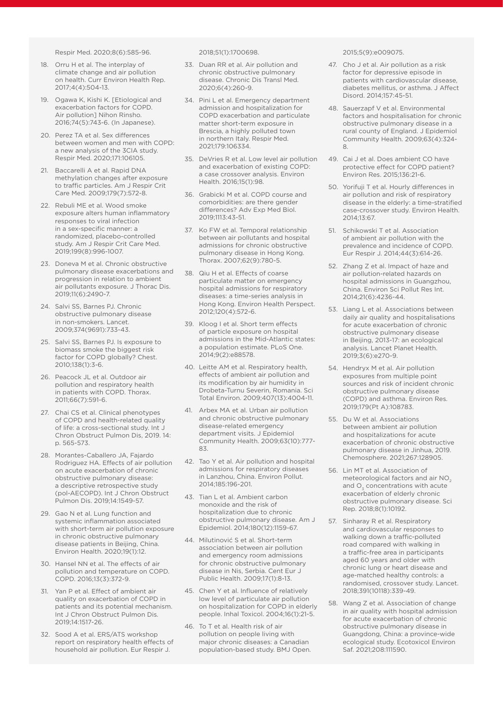Respir Med. 2020;8(6):585-96.

- 18. Orru H et al. The interplay of climate change and air pollution on health. Curr Environ Health Rep. 2017;4(4):504-13.
- 19. Ogawa K, Kishi K. [Etiological and exacerbation factors for COPD. Air pollution] Nihon Rinsho. 2016;74(5):743-6. (In Japanese).
- 20. Perez TA et al. Sex differences between women and men with COPD: a new analysis of the 3CIA study. Respir Med. 2020;171:106105.
- 21. Baccarelli A et al. Rapid DNA methylation changes after exposure to traffic particles. Am J Respir Crit Care Med. 2009;179(7):572-8.
- 22. Rebuli ME et al. Wood smoke exposure alters human inflammatory responses to viral infection in a sex-specific manner: a randomized, placebo-controlled study. Am J Respir Crit Care Med. 2019;199(8):996-1007.
- 23. Doneva M et al. Chronic obstructive pulmonary disease exacerbations and progression in relation to ambient air pollutants exposure. J Thorac Dis. 2019;11(6):2490-7.
- 24. Salvi SS, Barnes PJ. Chronic obstructive pulmonary disease in non-smokers. Lancet. 2009;374(9691):733-43.
- 25. Salvi SS, Barnes PJ. Is exposure to biomass smoke the biggest risk factor for COPD globally? Chest. 2010;138(1):3-6.
- 26. Peacock JL et al. Outdoor air pollution and respiratory health in patients with COPD. Thorax. 2011;66(7):591-6.
- 27. Chai CS et al. Clinical phenotypes of COPD and health-related quality of life: a cross-sectional study. Int J Chron Obstruct Pulmon Dis, 2019. 14: p. 565-573.
- 28. Morantes-Caballero JA, Fajardo Rodriguez HA. Effects of air pollution on acute exacerbation of chronic obstructive pulmonary disease: a descriptive retrospective study (pol-AECOPD). Int J Chron Obstruct Pulmon Dis. 2019;14:1549-57.
- 29. Gao N et al. Lung function and systemic inflammation associated with short-term air pollution exposure in chronic obstructive pulmonary disease patients in Beijing, China. Environ Health. 2020;19(1):12.
- 30. Hansel NN et al. The effects of air pollution and temperature on COPD. COPD. 2016;13(3):372-9.
- 31. Yan P et al. Effect of ambient air quality on exacerbation of COPD in patients and its potential mechanism. Int J Chron Obstruct Pulmon Dis. 2019;14:1517-26.
- 32. Sood A et al. ERS/ATS workshop report on respiratory health effects of household air pollution. Eur Respir J.

2018;51(1):1700698.

- 33. Duan RR et al. Air pollution and chronic obstructive pulmonary disease. Chronic Dis Transl Med. 2020;6(4):260-9.
- 34. Pini L et al. Emergency department admission and hospitalization for COPD exacerbation and particulate matter short-term exposure in Brescia, a highly polluted town in northern Italy. Respir Med. 2021;179:106334.
- 35. DeVries R et al. Low level air pollution and exacerbation of existing COPD: a case crossover analysis. Environ Health. 2016;15(1):98.
- 36. Grabicki M et al. COPD course and comorbidities: are there gender differences? Adv Exp Med Biol. 2019;1113:43-51.
- 37. Ko FW et al. Temporal relationship between air pollutants and hospital admissions for chronic obstructive pulmonary disease in Hong Kong. Thorax. 2007;62(9):780-5.
- 38. Qiu H et al. Effects of coarse particulate matter on emergency hospital admissions for respiratory diseases: a time-series analysis in Hong Kong. Environ Health Perspect. 2012;120(4):572-6.
- 39. Kloog I et al. Short term effects of particle exposure on hospital admissions in the Mid-Atlantic states: a population estimate. PLoS One. 2014;9(2):e88578.
- 40. Leitte AM et al. Respiratory health, effects of ambient air pollution and its modification by air humidity in Drobeta-Turnu Severin, Romania. Sci Total Environ. 2009;407(13):4004-11.
- 41. Arbex MA et al. Urban air pollution and chronic obstructive pulmonary disease-related emergency department visits. J Epidemiol Community Health. 2009;63(10):777- 83.
- 42. Tao Y et al. Air pollution and hospital admissions for respiratory diseases in Lanzhou, China. Environ Pollut. 2014;185:196-201.
- 43. Tian L et al. Ambient carbon monoxide and the risk of hospitalization due to chronic obstructive pulmonary disease. Am J Epidemiol. 2014;180(12):1159-67.
- 44. Milutinović S et al. Short-term association between air pollution and emergency room admissions for chronic obstructive pulmonary disease in Nis, Serbia. Cent Eur J Public Health. 2009;17(1):8-13.
- 45. Chen Y et al. Influence of relatively low level of particulate air pollution on hospitalization for COPD in elderly people. Inhal Toxicol. 2004;16(1):21-5.
- 46. To T et al. Health risk of air pollution on people living with major chronic diseases: a Canadian population-based study. BMJ Open.

2015;5(9):e009075.

- 47. Cho J et al. Air pollution as a risk factor for depressive episode in patients with cardiovascular disease, diabetes mellitus, or asthma. J Affect Disord. 2014;157:45-51.
- 48. Sauerzapf V et al. Environmental factors and hospitalisation for chronic obstructive pulmonary disease in a rural county of England. J Epidemiol Community Health. 2009;63(4):324- 8.
- 49. Cai J et al. Does ambient CO have protective effect for COPD patient? Environ Res. 2015;136:21-6.
- 50. Yorifuji T et al. Hourly differences in air pollution and risk of respiratory disease in the elderly: a time-stratified case-crossover study. Environ Health. 2014;13:67.
- 51. Schikowski T et al. Association of ambient air pollution with the prevalence and incidence of COPD. Eur Respir J. 2014;44(3):614-26.
- 52. Zhang Z et al. Impact of haze and air pollution-related hazards on hospital admissions in Guangzhou, China. Environ Sci Pollut Res Int. 2014;21(6):4236-44.
- 53. Liang L et al. Associations between daily air quality and hospitalisations for acute exacerbation of chronic obstructive pulmonary disease in Beijing, 2013-17: an ecological analysis. Lancet Planet Health. 2019;3(6):e270-9.
- 54. Hendryx M et al. Air pollution exposures from multiple point sources and risk of incident chronic obstructive pulmonary disease (COPD) and asthma. Environ Res. 2019;179(Pt A):108783.
- 55. Du W et al. Associations between ambient air pollution and hospitalizations for acute exacerbation of chronic obstructive pulmonary disease in Jinhua, 2019. Chemosphere. 2021;267:128905.
- 56. Lin MT et al. Association of meteorological factors and air NO<sub>2</sub> and O<sub>2</sub> concentrations with acute exacerbation of elderly chronic obstructive pulmonary disease. Sci Rep. 2018;8(1):10192.
- 57. Sinharay R et al. Respiratory and cardiovascular responses to walking down a traffic-polluted road compared with walking in a traffic-free area in participants aged 60 years and older with chronic lung or heart disease and age-matched healthy controls: a randomised, crossover study. Lancet. 2018;391(10118):339-49.
- 58. Wang Z et al. Association of change in air quality with hospital admission for acute exacerbation of chronic obstructive pulmonary disease in Guangdong, China: a province-wide ecological study. Ecotoxicol Environ Saf. 2021;208:111590.